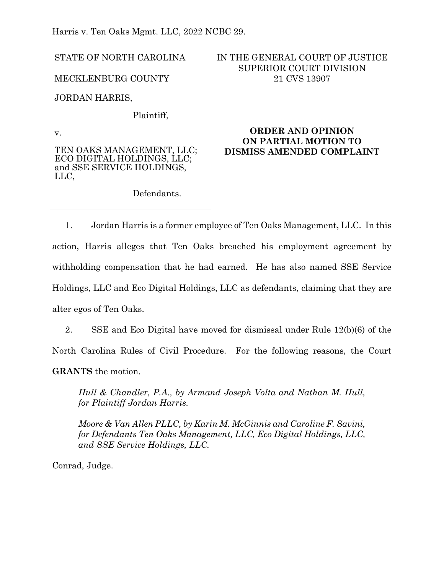Harris v. Ten Oaks Mgmt. LLC, 2022 NCBC 29.

STATE OF NORTH CAROLINA

MECKLENBURG COUNTY

JORDAN HARRIS,

Plaintiff,

v.

TEN OAKS MANAGEMENT, LLC; ECO DIGITAL HOLDINGS, LLC; and SSE SERVICE HOLDINGS, LLC,

Defendants.

# IN THE GENERAL COURT OF JUSTICE SUPERIOR COURT DIVISION 21 CVS 13907

# **ORDER AND OPINION ON PARTIAL MOTION TO DISMISS AMENDED COMPLAINT**

1. Jordan Harris is a former employee of Ten Oaks Management, LLC. In this action, Harris alleges that Ten Oaks breached his employment agreement by withholding compensation that he had earned. He has also named SSE Service Holdings, LLC and Eco Digital Holdings, LLC as defendants, claiming that they are alter egos of Ten Oaks.

2. SSE and Eco Digital have moved for dismissal under Rule 12(b)(6) of the North Carolina Rules of Civil Procedure. For the following reasons, the Court **GRANTS** the motion.

*Hull & Chandler, P.A., by Armand Joseph Volta and Nathan M. Hull, for Plaintiff Jordan Harris.*

*Moore & Van Allen PLLC, by Karin M. McGinnis and Caroline F. Savini, for Defendants Ten Oaks Management, LLC, Eco Digital Holdings, LLC, and SSE Service Holdings, LLC.*

Conrad, Judge.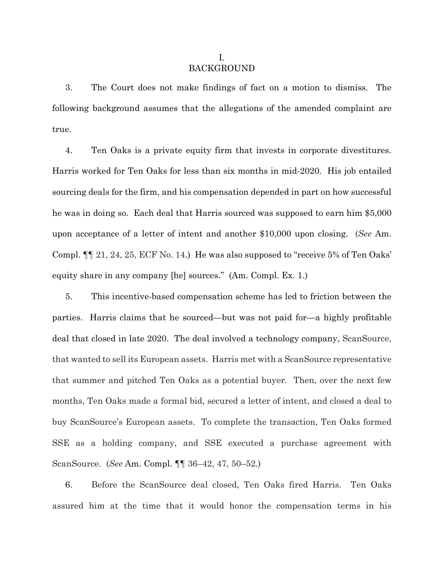#### I. BACKGROUND

3. The Court does not make findings of fact on a motion to dismiss. The following background assumes that the allegations of the amended complaint are true.

4. Ten Oaks is a private equity firm that invests in corporate divestitures. Harris worked for Ten Oaks for less than six months in mid-2020. His job entailed sourcing deals for the firm, and his compensation depended in part on how successful he was in doing so. Each deal that Harris sourced was supposed to earn him \$5,000 upon acceptance of a letter of intent and another \$10,000 upon closing. (*See* Am. Compl. ¶¶ 21, 24, 25, ECF No. 14.) He was also supposed to "receive 5% of Ten Oaks' equity share in any company [he] sources." (Am. Compl. Ex. 1.)

5. This incentive-based compensation scheme has led to friction between the parties. Harris claims that he sourced—but was not paid for—a highly profitable deal that closed in late 2020. The deal involved a technology company, ScanSource, that wanted to sell its European assets. Harris met with a ScanSource representative that summer and pitched Ten Oaks as a potential buyer. Then, over the next few months, Ten Oaks made a formal bid, secured a letter of intent, and closed a deal to buy ScanSource's European assets. To complete the transaction, Ten Oaks formed SSE as a holding company, and SSE executed a purchase agreement with ScanSource. (*See* Am. Compl. ¶¶ 36–42, 47, 50–52.)

6. Before the ScanSource deal closed, Ten Oaks fired Harris. Ten Oaks assured him at the time that it would honor the compensation terms in his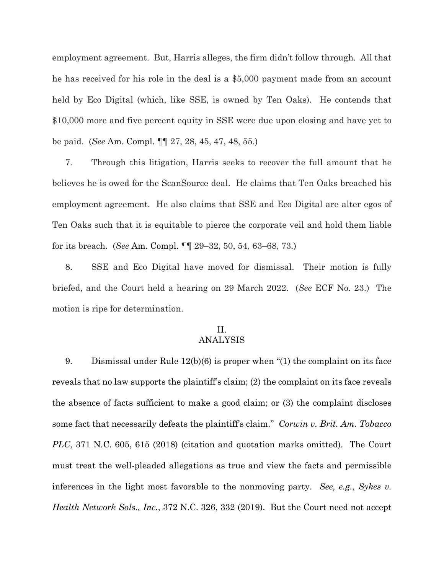employment agreement. But, Harris alleges, the firm didn't follow through. All that he has received for his role in the deal is a \$5,000 payment made from an account held by Eco Digital (which, like SSE, is owned by Ten Oaks). He contends that \$10,000 more and five percent equity in SSE were due upon closing and have yet to be paid. (*See* Am. Compl. ¶¶ 27, 28, 45, 47, 48, 55.)

7. Through this litigation, Harris seeks to recover the full amount that he believes he is owed for the ScanSource deal. He claims that Ten Oaks breached his employment agreement. He also claims that SSE and Eco Digital are alter egos of Ten Oaks such that it is equitable to pierce the corporate veil and hold them liable for its breach. (*See* Am. Compl. ¶¶ 29–32, 50, 54, 63–68, 73.)

8. SSE and Eco Digital have moved for dismissal. Their motion is fully briefed, and the Court held a hearing on 29 March 2022. (*See* ECF No. 23.) The motion is ripe for determination.

### II. ANALYSIS

9. Dismissal under Rule 12(b)(6) is proper when "(1) the complaint on its face reveals that no law supports the plaintiff's claim; (2) the complaint on its face reveals the absence of facts sufficient to make a good claim; or (3) the complaint discloses some fact that necessarily defeats the plaintiff's claim." *Corwin v. Brit. Am. Tobacco PLC*, 371 N.C. 605, 615 (2018) (citation and quotation marks omitted). The Court must treat the well-pleaded allegations as true and view the facts and permissible inferences in the light most favorable to the nonmoving party. *See, e.g.*, *Sykes v. Health Network Sols., Inc.*, 372 N.C. 326, 332 (2019). But the Court need not accept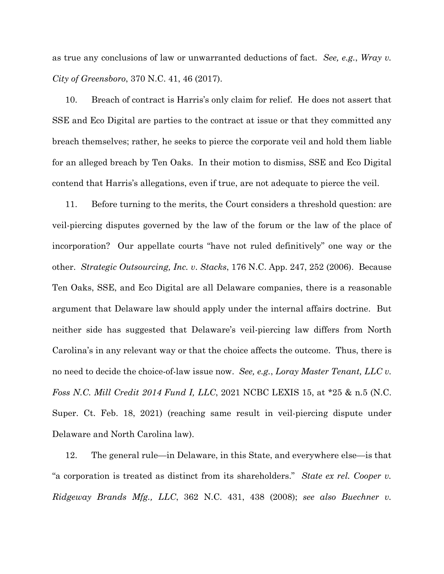as true any conclusions of law or unwarranted deductions of fact. *See, e.g.*, *Wray v. City of Greensboro*, 370 N.C. 41, 46 (2017).

10. Breach of contract is Harris's only claim for relief. He does not assert that SSE and Eco Digital are parties to the contract at issue or that they committed any breach themselves; rather, he seeks to pierce the corporate veil and hold them liable for an alleged breach by Ten Oaks. In their motion to dismiss, SSE and Eco Digital contend that Harris's allegations, even if true, are not adequate to pierce the veil.

11. Before turning to the merits, the Court considers a threshold question: are veil-piercing disputes governed by the law of the forum or the law of the place of incorporation? Our appellate courts "have not ruled definitively" one way or the other. *Strategic Outsourcing, Inc. v*. *Stacks*, 176 N.C. App. 247, 252 (2006). Because Ten Oaks, SSE, and Eco Digital are all Delaware companies, there is a reasonable argument that Delaware law should apply under the internal affairs doctrine. But neither side has suggested that Delaware's veil-piercing law differs from North Carolina's in any relevant way or that the choice affects the outcome. Thus, there is no need to decide the choice-of-law issue now. *See, e.g.*, *Loray Master Tenant, LLC v. Foss N.C. Mill Credit 2014 Fund I, LLC*, 2021 NCBC LEXIS 15, at \*25 & n.5 (N.C. Super. Ct. Feb. 18, 2021) (reaching same result in veil-piercing dispute under Delaware and North Carolina law).

12. The general rule—in Delaware, in this State, and everywhere else—is that "a corporation is treated as distinct from its shareholders." *State ex rel. Cooper v. Ridgeway Brands Mfg., LLC*, 362 N.C. 431, 438 (2008); *see also Buechner v.*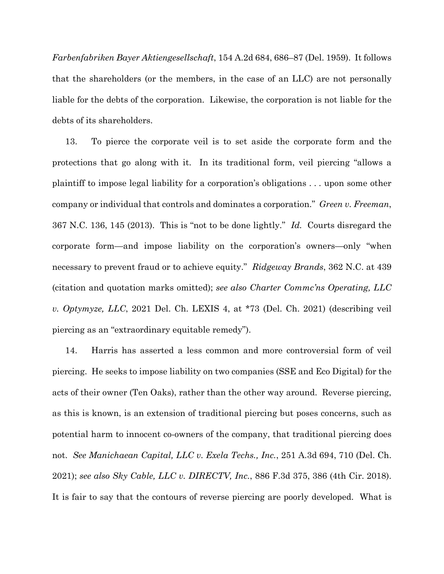*Farbenfabriken Bayer Aktiengesellschaft*, 154 A.2d 684, 686–87 (Del. 1959). It follows that the shareholders (or the members, in the case of an LLC) are not personally liable for the debts of the corporation. Likewise, the corporation is not liable for the debts of its shareholders.

13. To pierce the corporate veil is to set aside the corporate form and the protections that go along with it. In its traditional form, veil piercing "allows a plaintiff to impose legal liability for a corporation's obligations . . . upon some other company or individual that controls and dominates a corporation." *Green v. Freeman*, 367 N.C. 136, 145 (2013). This is "not to be done lightly." *Id.* Courts disregard the corporate form—and impose liability on the corporation's owners—only "when necessary to prevent fraud or to achieve equity." *Ridgeway Brands*, 362 N.C. at 439 (citation and quotation marks omitted); *see also Charter Commc'ns Operating, LLC v. Optymyze, LLC*, 2021 Del. Ch. LEXIS 4, at \*73 (Del. Ch. 2021) (describing veil piercing as an "extraordinary equitable remedy").

14. Harris has asserted a less common and more controversial form of veil piercing. He seeks to impose liability on two companies (SSE and Eco Digital) for the acts of their owner (Ten Oaks), rather than the other way around. Reverse piercing, as this is known, is an extension of traditional piercing but poses concerns, such as potential harm to innocent co-owners of the company, that traditional piercing does not. *See Manichaean Capital, LLC v. Exela Techs., Inc.*, 251 A.3d 694, 710 (Del. Ch. 2021); *see also Sky Cable, LLC v. DIRECTV, Inc.*, 886 F.3d 375, 386 (4th Cir. 2018). It is fair to say that the contours of reverse piercing are poorly developed. What is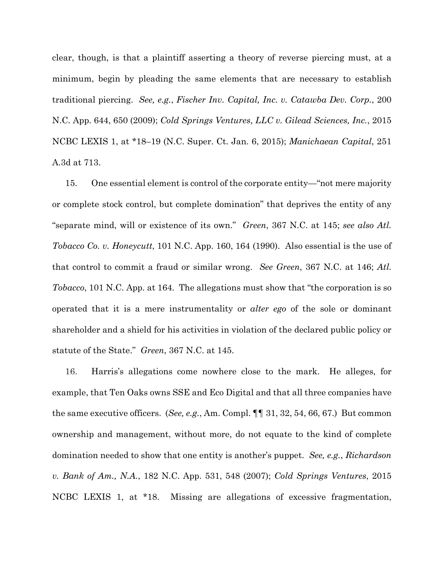clear, though, is that a plaintiff asserting a theory of reverse piercing must, at a minimum, begin by pleading the same elements that are necessary to establish traditional piercing. *See, e.g.*, *Fischer Inv. Capital, Inc. v. Catawba Dev. Corp.*, 200 N.C. App. 644, 650 (2009); *Cold Springs Ventures*, *LLC v. Gilead Sciences, Inc.*, 2015 NCBC LEXIS 1, at \*18–19 (N.C. Super. Ct. Jan. 6, 2015); *Manichaean Capital*, 251 A.3d at 713.

15. One essential element is control of the corporate entity—"not mere majority or complete stock control, but complete domination" that deprives the entity of any "separate mind, will or existence of its own." *Green*, 367 N.C. at 145; *see also Atl. Tobacco Co. v. Honeycutt*, 101 N.C. App. 160, 164 (1990). Also essential is the use of that control to commit a fraud or similar wrong. *See Green*, 367 N.C. at 146; *Atl. Tobacco*, 101 N.C. App. at 164. The allegations must show that "the corporation is so operated that it is a mere instrumentality or *alter ego* of the sole or dominant shareholder and a shield for his activities in violation of the declared public policy or statute of the State." *Green*, 367 N.C. at 145.

16. Harris's allegations come nowhere close to the mark. He alleges, for example, that Ten Oaks owns SSE and Eco Digital and that all three companies have the same executive officers. (*See, e.g.*, Am. Compl. ¶¶ 31, 32, 54, 66, 67.) But common ownership and management, without more, do not equate to the kind of complete domination needed to show that one entity is another's puppet. *See, e.g.*, *Richardson v. Bank of Am., N.A.*, 182 N.C. App. 531, 548 (2007); *Cold Springs Ventures*, 2015 NCBC LEXIS 1, at \*18. Missing are allegations of excessive fragmentation,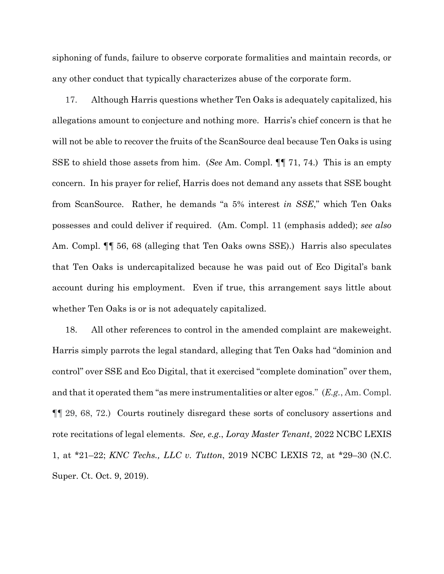siphoning of funds, failure to observe corporate formalities and maintain records, or any other conduct that typically characterizes abuse of the corporate form.

17. Although Harris questions whether Ten Oaks is adequately capitalized, his allegations amount to conjecture and nothing more. Harris's chief concern is that he will not be able to recover the fruits of the ScanSource deal because Ten Oaks is using SSE to shield those assets from him. (*See* Am. Compl. ¶¶ 71, 74.) This is an empty concern. In his prayer for relief, Harris does not demand any assets that SSE bought from ScanSource. Rather, he demands "a 5% interest *in SSE*," which Ten Oaks possesses and could deliver if required. (Am. Compl. 11 (emphasis added); *see also* Am. Compl. ¶¶ 56, 68 (alleging that Ten Oaks owns SSE).) Harris also speculates that Ten Oaks is undercapitalized because he was paid out of Eco Digital's bank account during his employment. Even if true, this arrangement says little about whether Ten Oaks is or is not adequately capitalized.

18. All other references to control in the amended complaint are makeweight. Harris simply parrots the legal standard, alleging that Ten Oaks had "dominion and control" over SSE and Eco Digital, that it exercised "complete domination" over them, and that it operated them "as mere instrumentalities or alter egos." (*E.g.*, Am. Compl. ¶¶ 29, 68, 72.) Courts routinely disregard these sorts of conclusory assertions and rote recitations of legal elements. *See, e.g.*, *Loray Master Tenant*, 2022 NCBC LEXIS 1, at \*21–22; *KNC Techs., LLC v. Tutton*, 2019 NCBC LEXIS 72, at \*29–30 (N.C. Super. Ct. Oct. 9, 2019).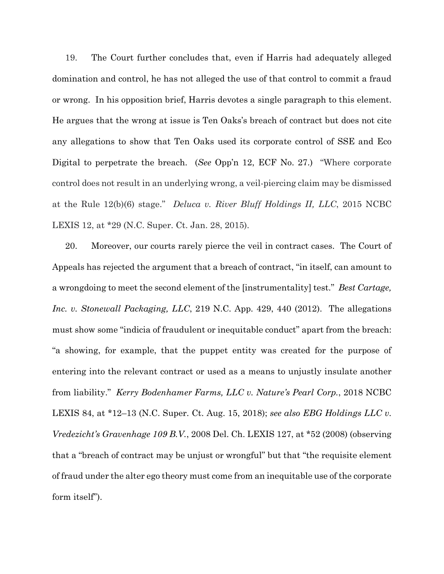19. The Court further concludes that, even if Harris had adequately alleged domination and control, he has not alleged the use of that control to commit a fraud or wrong. In his opposition brief, Harris devotes a single paragraph to this element. He argues that the wrong at issue is Ten Oaks's breach of contract but does not cite any allegations to show that Ten Oaks used its corporate control of SSE and Eco Digital to perpetrate the breach. (*See* Opp'n 12, ECF No. 27.) "Where corporate control does not result in an underlying wrong, a veil-piercing claim may be dismissed at the Rule 12(b)(6) stage." *Deluca v. River Bluff Holdings II, LLC*, 2015 NCBC LEXIS 12, at \*29 (N.C. Super. Ct. Jan. 28, 2015).

20. Moreover, our courts rarely pierce the veil in contract cases. The Court of Appeals has rejected the argument that a breach of contract, "in itself, can amount to a wrongdoing to meet the second element of the [instrumentality] test." *Best Cartage, Inc. v. Stonewall Packaging, LLC*, 219 N.C. App. 429, 440 (2012). The allegations must show some "indicia of fraudulent or inequitable conduct" apart from the breach: "a showing, for example, that the puppet entity was created for the purpose of entering into the relevant contract or used as a means to unjustly insulate another from liability." *Kerry Bodenhamer Farms, LLC v. Nature's Pearl Corp.*, 2018 NCBC LEXIS 84, at \*12–13 (N.C. Super. Ct. Aug. 15, 2018); *see also EBG Holdings LLC v. Vredezicht's Gravenhage 109 B.V.*, 2008 Del. Ch. LEXIS 127, at \*52 (2008) (observing that a "breach of contract may be unjust or wrongful" but that "the requisite element of fraud under the alter ego theory must come from an inequitable use of the corporate form itself").